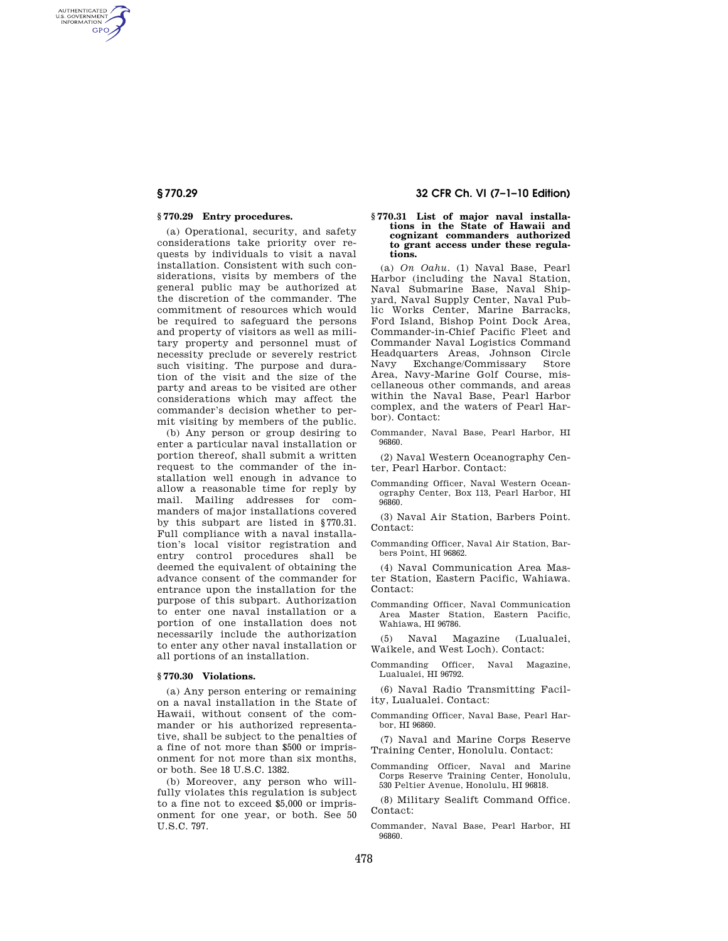AUTHENTICATED<br>U.S. GOVERNMENT<br>INFORMATION **GPO** 

## **§ 770.29 Entry procedures.**

(a) Operational, security, and safety considerations take priority over requests by individuals to visit a naval installation. Consistent with such considerations, visits by members of the general public may be authorized at the discretion of the commander. The commitment of resources which would be required to safeguard the persons and property of visitors as well as military property and personnel must of necessity preclude or severely restrict such visiting. The purpose and duration of the visit and the size of the party and areas to be visited are other considerations which may affect the commander's decision whether to permit visiting by members of the public.

(b) Any person or group desiring to enter a particular naval installation or portion thereof, shall submit a written request to the commander of the installation well enough in advance to allow a reasonable time for reply by mail. Mailing addresses for commanders of major installations covered by this subpart are listed in §770.31. Full compliance with a naval installation's local visitor registration and entry control procedures shall be deemed the equivalent of obtaining the advance consent of the commander for entrance upon the installation for the purpose of this subpart. Authorization to enter one naval installation or a portion of one installation does not necessarily include the authorization to enter any other naval installation or all portions of an installation.

#### **§ 770.30 Violations.**

(a) Any person entering or remaining on a naval installation in the State of Hawaii, without consent of the commander or his authorized representative, shall be subject to the penalties of a fine of not more than \$500 or imprisonment for not more than six months, or both. See 18 U.S.C. 1382.

(b) Moreover, any person who willfully violates this regulation is subject to a fine not to exceed \$5,000 or imprisonment for one year, or both. See 50 U.S.C. 797.

# **§ 770.29 32 CFR Ch. VI (7–1–10 Edition)**

# **§ 770.31 List of major naval installa-tions in the State of Hawaii and cognizant commanders authorized to grant access under these regulations.**

(a) *On Oahu.* (1) Naval Base, Pearl Harbor (including the Naval Station, Naval Submarine Base, Naval Shipyard, Naval Supply Center, Naval Public Works Center, Marine Barracks, Ford Island, Bishop Point Dock Area, Commander-in-Chief Pacific Fleet and Commander Naval Logistics Command Headquarters Areas, Johnson Circle Navy Exchange/Commissary Store Area, Navy-Marine Golf Course, miscellaneous other commands, and areas within the Naval Base, Pearl Harbor complex, and the waters of Pearl Harbor). Contact:

Commander, Naval Base, Pearl Harbor, HI 96860.

(2) Naval Western Oceanography Center, Pearl Harbor. Contact:

Commanding Officer, Naval Western Oceanography Center, Box 113, Pearl Harbor, HI 96860.

(3) Naval Air Station, Barbers Point. Contact:

Commanding Officer, Naval Air Station, Barbers Point, HI 96862.

(4) Naval Communication Area Master Station, Eastern Pacific, Wahiawa. Contact:

Commanding Officer, Naval Communication Area Master Station, Eastern Pacific, Wahiawa, HI 96786.

(5) Naval Magazine (Lualualei, Waikele, and West Loch). Contact:

Commanding Officer, Naval Magazine, Lualualei, HI 96792.

(6) Naval Radio Transmitting Facility, Lualualei. Contact:

- Commanding Officer, Naval Base, Pearl Harbor, HI 96860.
- (7) Naval and Marine Corps Reserve Training Center, Honolulu. Contact:
- Commanding Officer, Naval and Marine Corps Reserve Training Center, Honolulu, 530 Peltier Avenue, Honolulu, HI 96818.

(8) Military Sealift Command Office. Contact:

Commander, Naval Base, Pearl Harbor, HI 96860.